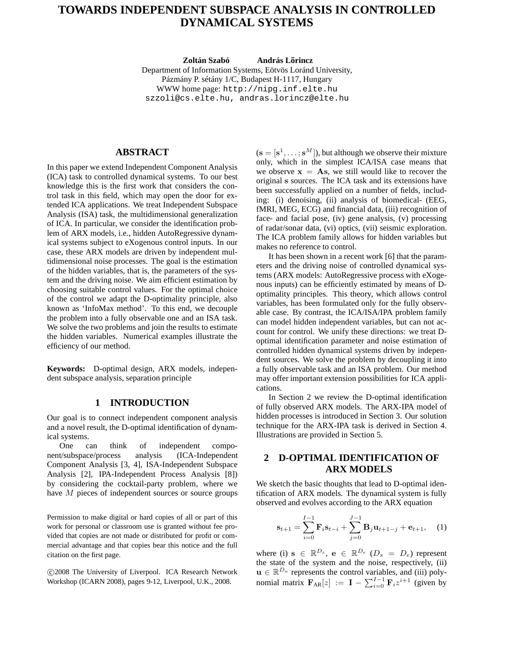# **TOWARDS INDEPENDENT SUBSPACE ANALYSIS IN CONTROLLED DYNAMICAL SYSTEMS**

**Zoltán Szabó** *András Lőrincz* Department of Information Systems, Eötvös Loránd University, Pázmány P. sétány 1/C, Budapest H-1117, Hungary WWW home page: http://nipg.inf.elte.hu szzoli@cs.elte.hu, andras.lorincz@elte.hu

# **ABSTRACT**

In this paper we extend Independent Component Analysis (ICA) task to controlled dynamical systems. To our best knowledge this is the first work that considers the control task in this field, which may open the door for extended ICA applications. We treat Independent Subspace Analysis (ISA) task, the multidimensional generalization of ICA. In particular, we consider the identification problem of ARX models, i.e., hidden AutoRegressive dynamical systems subject to eXogenous control inputs. In our case, these ARX models are driven by independent multidimensional noise processes. The goal is the estimation of the hidden variables, that is, the parameters of the system and the driving noise. We aim efficient estimation by choosing suitable control values. For the optimal choice of the control we adapt the D-optimality principle, also known as 'InfoMax method'. To this end, we decouple the problem into a fully observable one and an ISA task. We solve the two problems and join the results to estimate the hidden variables. Numerical examples illustrate the efficiency of our method.

**Keywords:** D-optimal design, ARX models, independent subspace analysis, separation principle

### **1 INTRODUCTION**

Our goal is to connect independent component analysis and a novel result, the D-optimal identification of dynamical systems.

One can think of independent component/subspace/process analysis (ICA-Independent Component Analysis [3, 4], ISA-Independent Subspace Analysis [2], IPA-Independent Process Analysis [8]) by considering the cocktail-party problem, where we have  $M$  pieces of independent sources or source groups

Permission to make digital or hard copies of all or part of this work for personal or classroom use is granted without fee provided that copies are not made or distributed for profit or commercial advantage and that copies bear this notice and the full citation on the first page.

 c 2008 The University of Liverpool. ICA Research Network Workshop (ICARN 2008), pages 9-12, Liverpool, U.K., 2008.

 $(s = [s^1, \dots; s^M])$ , but although we observe their mixture only, which in the simplest ICA/ISA case means that we observe  $x = As$ , we still would like to recover the original s sources. The ICA task and its extensions have been successfully applied on a number of fields, including: (i) denoising, (ii) analysis of biomedical- (EEG, fMRI, MEG, ECG) and financial data, (iii) recognition of face- and facial pose, (iv) gene analysis, (v) processing of radar/sonar data, (vi) optics, (vii) seismic exploration. The ICA problem family allows for hidden variables but makes no reference to control.

It has been shown in a recent work [6] that the parameters and the driving noise of controlled dynamical systems (ARX models: AutoRegressive process with eXogenous inputs) can be efficiently estimated by means of Doptimality principles. This theory, which allows control variables, has been formulated only for the fully observable case. By contrast, the ICA/ISA/IPA problem family can model hidden independent variables, but can not account for control. We unify these directions: we treat Doptimal identification parameter and noise estimation of controlled hidden dynamical systems driven by independent sources. We solve the problem by decoupling it into a fully observable task and an ISA problem. Our method may offer important extension possibilities for ICA applications.

In Section 2 we review the D-optimal identification of fully observed ARX models. The ARX-IPA model of hidden processes is introduced in Section 3. Our solution technique for the ARX-IPA task is derived in Section 4. Illustrations are provided in Section 5.

## **2 D-OPTIMAL IDENTIFICATION OF ARX MODELS**

We sketch the basic thoughts that lead to D-optimal identification of ARX models. The dynamical system is fully observed and evolves according to the ARX equation

$$
\mathbf{s}_{t+1} = \sum_{i=0}^{I-1} \mathbf{F}_i \mathbf{s}_{t-i} + \sum_{j=0}^{J-1} \mathbf{B}_j \mathbf{u}_{t+1-j} + \mathbf{e}_{t+1}, \quad (1)
$$

where (i)  $\mathbf{s} \in \mathbb{R}^{D_s}$ ,  $\mathbf{e} \in \mathbb{R}^{D_e}$  ( $D_s = D_e$ ) represent the state of the system and the noise, respectively, (ii)  $\mathbf{u} \in \mathbb{R}^{D_u}$  represents the control variables, and (iii) polynomial matrix  $\mathbf{F}_{AR}[z] := \mathbf{I} - \sum_{i=0}^{I-1} \mathbf{F}_i z^{i+1}$  (given by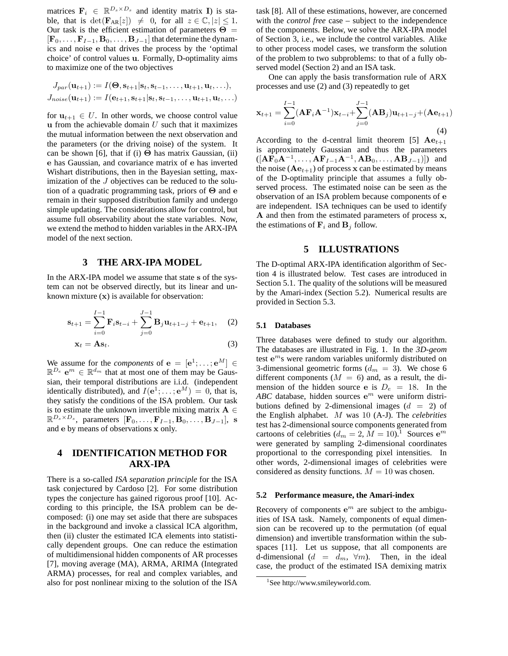matrices  $F_i \in \mathbb{R}^{D_s \times D_s}$  and identity matrix **I**) is stable, that is  $\det(\mathbf{F}_{AR}[z]) \neq 0$ , for all  $z \in \mathbb{C}, |z| \leq 1$ . Our task is the efficient estimation of parameters  $\Theta =$  $[\mathbf{F}_0, \ldots, \mathbf{F}_{I-1}, \mathbf{B}_0, \ldots, \mathbf{B}_{J-1}]$  that determine the dynamics and noise e that drives the process by the 'optimal choice' of control values u. Formally, D-optimality aims to maximize one of the two objectives

$$
J_{par}(\mathbf{u}_{t+1}) := I(\mathbf{\Theta}, \mathbf{s}_{t+1} | \mathbf{s}_t, \mathbf{s}_{t-1}, \dots, \mathbf{u}_{t+1}, \mathbf{u}_t, \dots),
$$
  

$$
J_{noise}(\mathbf{u}_{t+1}) := I(\mathbf{e}_{t+1}, \mathbf{s}_{t+1} | \mathbf{s}_t, \mathbf{s}_{t-1}, \dots, \mathbf{u}_{t+1}, \mathbf{u}_t, \dots)
$$

for  $u_{t+1} \in U$ . In other words, we choose control value u from the achievable domain  $U$  such that it maximizes the mutual information between the next observation and the parameters (or the driving noise) of the system. It can be shown [6], that if (i)  $\Theta$  has matrix Gaussian, (ii) e has Gaussian, and covariance matrix of e has inverted Wishart distributions, then in the Bayesian setting, maximization of the J objectives can be reduced to the solution of a quadratic programming task, priors of Θ and e remain in their supposed distribution family and undergo simple updating. The considerations allow for control, but assume full observability about the state variables. Now, we extend the method to hidden variables in the ARX-IPA model of the next section.

## **3 THE ARX-IPA MODEL**

In the ARX-IPA model we assume that state s of the system can not be observed directly, but its linear and unknown mixture  $(x)$  is available for observation:

$$
\mathbf{s}_{t+1} = \sum_{i=0}^{I-1} \mathbf{F}_i \mathbf{s}_{t-i} + \sum_{j=0}^{J-1} \mathbf{B}_j \mathbf{u}_{t+1-j} + \mathbf{e}_{t+1}, \quad (2)
$$

$$
\mathbf{x}_t = \mathbf{A}\mathbf{s}_t. \tag{3}
$$

We assume for the *components* of  $e = [e^1; \dots; e^M] \in$  $\mathbb{R}^{D_e}$   $\mathbf{e}^m \in \mathbb{R}^{d_m}$  that at most one of them may be Gaussian, their temporal distributions are i.i.d. (independent identically distributed), and  $I(e^1; \dots; e^M) = 0$ , that is, they satisfy the conditions of the ISA problem. Our task is to estimate the unknown invertible mixing matrix  $A \in$  $\mathbb{R}^{D_s \times D_s}$ , parameters  $[\mathbf{F}_0, \dots, \mathbf{F}_{I-1}, \mathbf{B}_0, \dots, \mathbf{B}_{J-1}],$  s and e by means of observations x only.

# **4 IDENTIFICATION METHOD FOR ARX-IPA**

There is a so-called *ISA separation principle* for the ISA task conjectured by Cardoso [2]. For some distribution types the conjecture has gained rigorous proof [10]. According to this principle, the ISA problem can be decomposed: (i) one may set aside that there are subspaces in the background and invoke a classical ICA algorithm, then (ii) cluster the estimated ICA elements into statistically dependent groups. One can reduce the estimation of multidimensional hidden components of AR processes [7], moving average (MA), ARMA, ARIMA (Integrated ARMA) processes, for real and complex variables, and also for post nonlinear mixing to the solution of the ISA

task [8]. All of these estimations, however, are concerned with the *control free* case – subject to the independence of the components. Below, we solve the ARX-IPA model of Section 3, i.e., we include the control variables. Alike to other process model cases, we transform the solution of the problem to two subproblems: to that of a fully observed model (Section 2) and an ISA task.

One can apply the basis transformation rule of ARX processes and use (2) and (3) repeatedly to get

$$
\mathbf{x}_{t+1} = \sum_{i=0}^{I-1} (\mathbf{A}\mathbf{F}_i \mathbf{A}^{-1}) \mathbf{x}_{t-i} + \sum_{j=0}^{J-1} (\mathbf{A}\mathbf{B}_j) \mathbf{u}_{t+1-j} + (\mathbf{A}\mathbf{e}_{t+1})
$$
\n(4)

According to the d-central limit theorem [5]  $Ae_{t+1}$ is approximately Gaussian and thus the parameters  $([{\bf A}\overrightarrow{\bf F}_0{\bf A}^{-1},\ldots,{\bf A}\overrightarrow{\bf F}_{I-1}{\bf A}^{-1},{\bf A}{\bf B}_0,\ldots,{\bf A}{\bf B}_{J-1})])$  and the noise ( $Ae_{t+1}$ ) of process x can be estimated by means of the D-optimality principle that assumes a fully observed process. The estimated noise can be seen as the observation of an ISA problem because components of e are independent. ISA techniques can be used to identify A and then from the estimated parameters of process x, the estimations of  $\mathbf{F}_i$  and  $\mathbf{B}_j$  follow.

## **5 ILLUSTRATIONS**

The D-optimal ARX-IPA identification algorithm of Section 4 is illustrated below. Test cases are introduced in Section 5.1. The quality of the solutions will be measured by the Amari-index (Section 5.2). Numerical results are provided in Section 5.3.

#### **5.1 Databases**

Three databases were defined to study our algorithm. The databases are illustrated in Fig. 1. In the *3D-geom* test  $e^{m}$ s were random variables uniformly distributed on 3-dimensional geometric forms  $(d_m = 3)$ . We chose 6 different components  $(M = 6)$  and, as a result, the dimension of the hidden source e is  $D_e = 18$ . In the  $ABC$  database, hidden sources  $e^m$  were uniform distributions defined by 2-dimensional images  $(d = 2)$  of the English alphabet. M was 10 (A-J). The *celebrities* test has 2-dimensional source components generated from cartoons of celebrities  $(d_m = 2, \tilde{M} = 10)^{1}$  Sources  $e^m$ were generated by sampling 2-dimensional coordinates proportional to the corresponding pixel intensities. In other words, 2-dimensional images of celebrities were considered as density functions.  $M = 10$  was chosen.

#### **5.2 Performance measure, the Amari-index**

Recovery of components  $e^m$  are subject to the ambiguities of ISA task. Namely, components of equal dimension can be recovered up to the permutation (of equal dimension) and invertible transformation within the subspaces [11]. Let us suppose, that all components are d-dimensional  $(d = d_m, \forall m)$ . Then, in the ideal case, the product of the estimated ISA demixing matrix

<sup>1</sup> See http://www.smileyworld.com.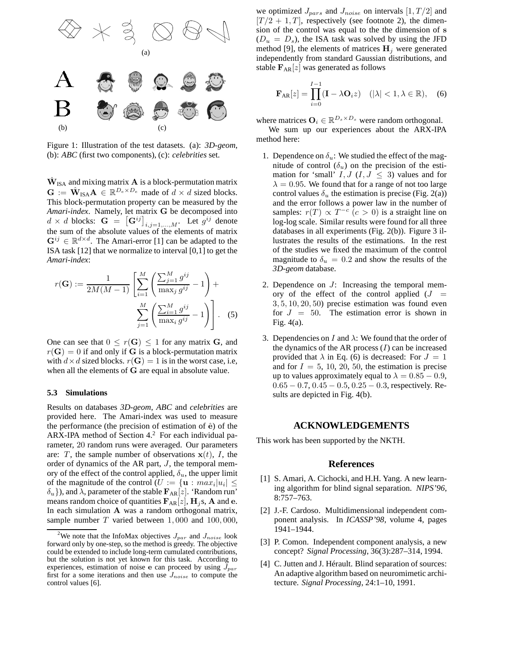

Figure 1: Illustration of the test datasets. (a): *3D-geom*, (b): *ABC* (first two components), (c): *celebrities* set.

 $\hat{\mathbf{W}}_{\mathrm{ISA}}$  and mixing matrix  $\mathbf{A}$  is a block-permutation matrix  $\mathbf{G} := \hat{\mathbf{W}}_{\text{ISA}} \mathbf{A} \in \mathbb{R}^{D_e \times D_e}$  made of  $d \times d$  sized blocks. This block-permutation property can be measured by the *Amari-index*. Namely, let matrix G be decomposed into  $d \times d$  blocks:  $\mathbf{G} = \left[\mathbf{G}^{ij}\right]_{i,j=1,\dots,M}$ . Let  $g^{ij}$  denote the sum of the absolute values of the elements of matrix  $\mathbf{G}^{ij} \in \mathbb{R}^{d \times d}$ . The Amari-error [1] can be adapted to the ISA task [12] that we normalize to interval [0,1] to get the *Amari-index*:

$$
r(\mathbf{G}) := \frac{1}{2M(M-1)} \left[ \sum_{i=1}^{M} \left( \frac{\sum_{j=1}^{M} g^{ij}}{\max_j g^{ij}} - 1 \right) + \sum_{j=1}^{M} \left( \frac{\sum_{i=1}^{M} g^{ij}}{\max_i g^{ij}} - 1 \right) \right].
$$
 (5)

One can see that  $0 \leq r(G) \leq 1$  for any matrix G, and  $r(\mathbf{G}) = 0$  if and only if G is a block-permutation matrix with  $d \times d$  sized blocks.  $r(\mathbf{G}) = 1$  is in the worst case, i.e, when all the elements of G are equal in absolute value.

#### **5.3 Simulations**

Results on databases *3D-geom*, *ABC* and *celebrities* are provided here. The Amari-index was used to measure the performance (the precision of estimation of  $\hat{e}$ ) of the ARX-IPA method of Section 4.<sup>2</sup> For each individual parameter, 20 random runs were averaged. Our parameters are: T, the sample number of observations  $x(t)$ , I, the order of dynamics of the AR part,  $J$ , the temporal memory of the effect of the control applied,  $\delta_u$ , the upper limit of the magnitude of the control  $(U := {\bf u} : max_i |u_i] \le$  $\{\delta_u\}$ ), and  $\lambda$ , parameter of the stable  $\mathbf{F}_{AR}[z]$ . 'Random run' means random choice of quantities  $F_{AR}[z]$ ,  $H_i$ s, A and e. In each simulation A was a random orthogonal matrix, sample number  $T$  varied between 1,000 and 100,000,

we optimized  $J_{pars}$  and  $J_{noise}$  on intervals  $[1, T/2]$  and  $[T/2 + 1, T]$ , respectively (see footnote 2), the dimension of the control was equal to the the dimension of s  $(D_u = D_s)$ , the ISA task was solved by using the JFD method [9], the elements of matrices  $H_i$  were generated independently from standard Gaussian distributions, and stable  $\mathbf{F}_{AR}[z]$  was generated as follows

$$
\mathbf{F}_{AR}[z] = \prod_{i=0}^{I-1} (\mathbf{I} - \lambda \mathbf{O}_i z) \quad (|\lambda| < 1, \lambda \in \mathbb{R}), \quad (6)
$$

where matrices  $O_i \in \mathbb{R}^{D_s \times D_s}$  were random orthogonal.

We sum up our experiences about the ARX-IPA method here:

- 1. Dependence on  $\delta_u$ : We studied the effect of the magnitude of control  $(\delta_u)$  on the precision of the estimation for 'small'  $I, J, (I, J \leq 3)$  values and for  $\lambda = 0.95$ . We found that for a range of not too large control values  $\delta_u$  the estimation is precise (Fig. 2(a)) and the error follows a power law in the number of samples:  $r(T) \propto T^{-c}$   $(c > 0)$  is a straight line on log-log scale. Similar results were found for all three databases in all experiments (Fig. 2(b)). Figure 3 illustrates the results of the estimations. In the rest of the studies we fixed the maximum of the control magnitude to  $\delta_u = 0.2$  and show the results of the *3D-geom* database.
- 2. Dependence on J: Increasing the temporal memory of the effect of the control applied  $(J =$ 3, 5, 10, 20, 50) precise estimation was found even for  $J = 50$ . The estimation error is shown in Fig. 4(a).
- 3. Dependencies on I and  $\lambda$ : We found that the order of the dynamics of the AR process  $(I)$  can be increased provided that  $\lambda$  in Eq. (6) is decreased: For  $J = 1$ and for  $I = 5, 10, 20, 50$ , the estimation is precise up to values approximately equal to  $\lambda = 0.85 - 0.9$ ,  $0.65 - 0.7$ ,  $0.45 - 0.5$ ,  $0.25 - 0.3$ , respectively. Results are depicted in Fig. 4(b).

## **ACKNOWLEDGEMENTS**

This work has been supported by the NKTH.

### **References**

- [1] S. Amari, A. Cichocki, and H.H. Yang. A new learning algorithm for blind signal separation. *NIPS'96*, 8:757–763.
- [2] J.-F. Cardoso. Multidimensional independent component analysis. In *ICASSP'98*, volume 4, pages 1941–1944.
- [3] P. Comon. Independent component analysis, a new concept? *Signal Processing*, 36(3):287–314, 1994.
- [4] C. Jutten and J. Hérault. Blind separation of sources: An adaptive algorithm based on neuromimetic architecture. *Signal Processing*, 24:1–10, 1991.

<sup>&</sup>lt;sup>2</sup>We note that the InfoMax objectives  $J_{par}$  and  $J_{noise}$  look forward only by one-step, so the method is greedy. The objective could be extended to include long-term cumulated contributions, but the solution is not yet known for this task. According to experiences, estimation of noise e can proceed by using  $J_{par}$ first for a some iterations and then use  $J_{noise}$  to compute the control values [6].